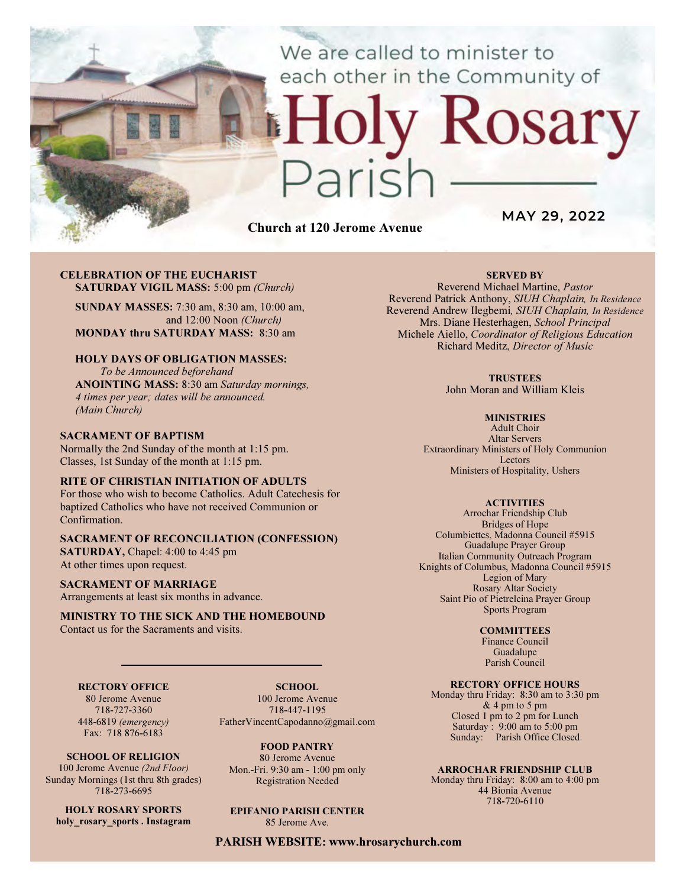We are called to minister to each other in the Community of

# Church at 120 Jerome Avenue

 $\sqrt{2}$ 

MAY 29, 2022

Rosary

#### CELEBRATION OF THE EUCHARIST SATURDAY VIGIL MASS: 5:00 pm (Church)

SUNDAY MASSES: 7:30 am, 8:30 am, 10:00 am, and 12:00 Noon (Church) MONDAY thru SATURDAY MASS: 8:30 am

## HOLY DAYS OF OBLIGATION MASSES:

To be Announced beforehand ANOINTING MASS: 8:30 am Saturday mornings, 4 times per year; dates will be announced. (Main Church)

## SACRAMENT OF BAPTISM

Normally the 2nd Sunday of the month at 1:15 pm. Classes, 1st Sunday of the month at 1:15 pm.

## RITE OF CHRISTIAN INITIATION OF ADULTS

For those who wish to become Catholics. Adult Catechesis for baptized Catholics who have not received Communion or Confirmation.

## SACRAMENT OF RECONCILIATION (CONFESSION)

SATURDAY, Chapel: 4:00 to 4:45 pm At other times upon request.

#### SACRAMENT OF MARRIAGE

Arrangements at least six months in advance.

#### MINISTRY TO THE SICK AND THE HOMEBOUND Contact us for the Sacraments and visits.

## RECTORY OFFICE

80 Jerome Avenue 718-727-3360 448-6819 (emergency) Fax: 718 876-6183

SCHOOL OF RELIGION 100 Jerome Avenue (2nd Floor) Sunday Mornings (1st thru 8th grades) 718-273-6695

HOLY ROSARY SPORTS holy rosary sports . Instagram

SCHOOL. 100 Jerome Avenue 718-447-1195 FatherVincentCapodanno@gmail.com

FOOD PANTRY 80 Jerome Avenue Mon.-Fri. 9:30 am - 1:00 pm only Registration Needed

EPIFANIO PARISH CENTER 85 Jerome Ave.

PARISH WEBSITE: www.hrosarychurch.com

## SERVED BY

Reverend Michael Martine, Pastor Reverend Patrick Anthony, SIUH Chaplain, In Residence Reverend Andrew Ilegbemi, SIUH Chaplain, In Residence Mrs. Diane Hesterhagen, School Principal Michele Aiello, Coordinator of Religious Education Richard Meditz, Director of Music

#### **TRUSTEES**

John Moran and William Kleis

#### **MINISTRIES**

Adult Choir Altar Servers Extraordinary Ministers of Holy Communion Lectors Ministers of Hospitality, Ushers

#### **ACTIVITIES**

Arrochar Friendship Club Bridges of Hope Columbiettes, Madonna Council #5915 Guadalupe Prayer Group Italian Community Outreach Program Knights of Columbus, Madonna Council #5915 Legion of Mary Rosary Altar Society Saint Pio of Pietrelcina Prayer Group Sports Program

#### **COMMITTEES**

Finance Council Guadalupe Parish Council

## RECTORY OFFICE HOURS

Monday thru Friday: 8:30 am to 3:30 pm & 4 pm to 5 pm Closed 1 pm to 2 pm for Lunch Saturday:  $9:00 \text{ am to } 5:00 \text{ pm}$ Sunday: Parish Office Closed

#### ARROCHAR FRIENDSHIP CLUB

Monday thru Friday: 8:00 am to 4:00 pm 44 Bionia Avenue 718-720-6110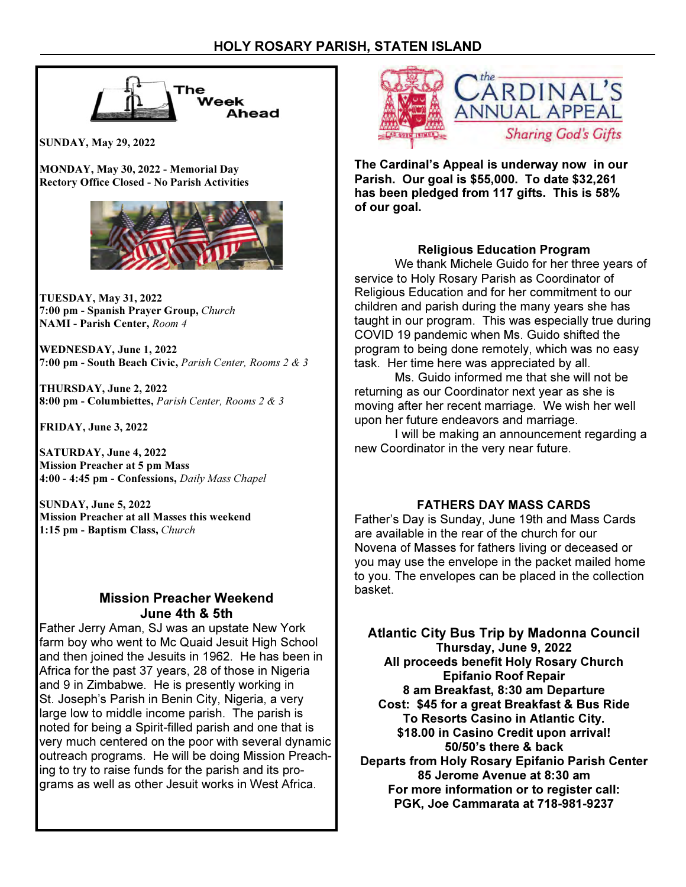

SUNDAY, May 29, 2022

MONDAY, May 30, 2022 - Memorial Day Rectory Office Closed - No Parish Activities



TUESDAY, May 31, 2022 7:00 pm - Spanish Prayer Group, Church NAMI - Parish Center, Room 4

WEDNESDAY, June 1, 2022 7:00 pm - South Beach Civic, Parish Center, Rooms 2 & 3

THURSDAY, June 2, 2022 8:00 pm - Columbiettes, Parish Center, Rooms 2 & 3

FRIDAY, June 3, 2022

SATURDAY, June 4, 2022 Mission Preacher at 5 pm Mass 4:00 - 4:45 pm - Confessions, Daily Mass Chapel

SUNDAY, June 5, 2022 Mission Preacher at all Masses this weekend 1:15 pm - Baptism Class, Church

# Mission Preacher Weekend June 4th & 5th

Father Jerry Aman, SJ was an upstate New York farm boy who went to Mc Quaid Jesuit High School and then joined the Jesuits in 1962. He has been in Africa for the past 37 years, 28 of those in Nigeria and 9 in Zimbabwe. He is presently working in St. Joseph's Parish in Benin City, Nigeria, a very large low to middle income parish. The parish is noted for being a Spirit-filled parish and one that is very much centered on the poor with several dynamic outreach programs. He will be doing Mission Preaching to try to raise funds for the parish and its programs as well as other Jesuit works in West Africa.



The Cardinal's Appeal is underway now in our Parish. Our goal is \$55,000. To date \$32,261 has been pledged from 117 gifts. This is 58% of our goal.

# Religious Education Program

 We thank Michele Guido for her three years of service to Holy Rosary Parish as Coordinator of Religious Education and for her commitment to our children and parish during the many years she has taught in our program. This was especially true during COVID 19 pandemic when Ms. Guido shifted the program to being done remotely, which was no easy task. Her time here was appreciated by all.

 Ms. Guido informed me that she will not be returning as our Coordinator next year as she is moving after her recent marriage. We wish her well upon her future endeavors and marriage.

 I will be making an announcement regarding a new Coordinator in the very near future.

# FATHERS DAY MASS CARDS

Father's Day is Sunday, June 19th and Mass Cards are available in the rear of the church for our Novena of Masses for fathers living or deceased or you may use the envelope in the packet mailed home to you. The envelopes can be placed in the collection basket.

Atlantic City Bus Trip by Madonna Council Thursday, June 9, 2022 All proceeds benefit Holy Rosary Church Epifanio Roof Repair 8 am Breakfast, 8:30 am Departure Cost: \$45 for a great Breakfast & Bus Ride To Resorts Casino in Atlantic City. \$18.00 in Casino Credit upon arrival! 50/50's there & back Departs from Holy Rosary Epifanio Parish Center 85 Jerome Avenue at 8:30 am For more information or to register call: PGK, Joe Cammarata at 718-981-9237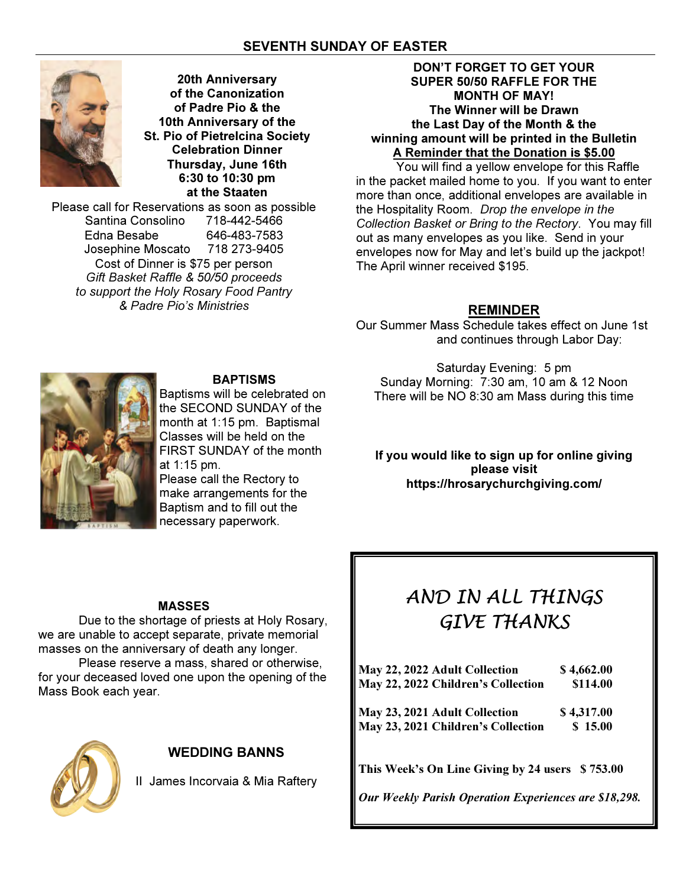# SEVENTH SUNDAY OF EASTER



20th Anniversary of the Canonization of Padre Pio & the 10th Anniversary of the St. Pio of Pietrelcina Society Celebration Dinner Thursday, June 16th 6:30 to 10:30 pm at the Staaten

Please call for Reservations as soon as possible Santina Consolino 718-442-5466 Edna Besabe 646-483-7583 Josephine Moscato 718 273-9405 Cost of Dinner is \$75 per person Gift Basket Raffle & 50/50 proceeds to support the Holy Rosary Food Pantry & Padre Pio's Ministries

## DON'T FORGET TO GET YOUR SUPER 50/50 RAFFLE FOR THE MONTH OF MAY! The Winner will be Drawn the Last Day of the Month & the winning amount will be printed in the Bulletin A Reminder that the Donation is \$5.00

 You will find a yellow envelope for this Raffle in the packet mailed home to you. If you want to enter more than once, additional envelopes are available in the Hospitality Room. Drop the envelope in the Collection Basket or Bring to the Rectory. You may fill out as many envelopes as you like. Send in your envelopes now for May and let's build up the jackpot! The April winner received \$195.

## REMINDER

Our Summer Mass Schedule takes effect on June 1st and continues through Labor Day:



# BAPTISMS

Baptisms will be celebrated on the SECOND SUNDAY of the month at 1:15 pm. Baptismal Classes will be held on the FIRST SUNDAY of the month at 1:15 pm. Please call the Rectory to make arrangements for the Baptism and to fill out the

Saturday Evening: 5 pm Sunday Morning: 7:30 am, 10 am & 12 Noon There will be NO 8:30 am Mass during this time

If you would like to sign up for online giving please visit https://hrosarychurchgiving.com/

## MASSES

 Due to the shortage of priests at Holy Rosary, we are unable to accept separate, private memorial masses on the anniversary of death any longer.

 Please reserve a mass, shared or otherwise, for your deceased loved one upon the opening of the Mass Book each year.



# WEDDING BANNS

II James Incorvaia & Mia Raftery

# AND IN ALL THINGS GIVE THANKS

| May 22, 2022 Adult Collection<br>May 22, 2022 Children's Collection | \$4,662.00<br>\$114.00 |
|---------------------------------------------------------------------|------------------------|
| May 23, 2021 Adult Collection                                       | \$4,317.00             |
| May 23, 2021 Children's Collection                                  | \$15.00                |
|                                                                     |                        |
|                                                                     |                        |

This Week's On Line Giving by 24 users \$753.00

Our Weekly Parish Operation Experiences are \$18,298.